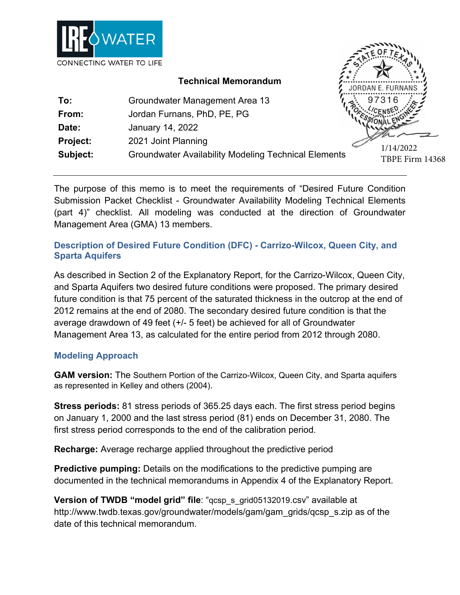

### **Technical Memorandum**

| To:             | Groundwater Management Area 13                              |  |
|-----------------|-------------------------------------------------------------|--|
| From:           | Jordan Furnans, PhD, PE, PG                                 |  |
| Date:           | January 14, 2022                                            |  |
| <b>Project:</b> | 2021 Joint Planning                                         |  |
| Subject:        | <b>Groundwater Availability Modeling Technical Elements</b> |  |

1/14/2022 TBPE Firm 14368

The purpose of this memo is to meet the requirements of "Desired Future Condition Submission Packet Checklist - Groundwater Availability Modeling Technical Elements (part 4)" checklist. All modeling was conducted at the direction of Groundwater Management Area (GMA) 13 members.

## **Description of Desired Future Condition (DFC) - Carrizo-Wilcox, Queen City, and Sparta Aquifers**

As described in Section 2 of the Explanatory Report, for the Carrizo-Wilcox, Queen City, and Sparta Aquifers two desired future conditions were proposed. The primary desired future condition is that 75 percent of the saturated thickness in the outcrop at the end of 2012 remains at the end of 2080. The secondary desired future condition is that the average drawdown of 49 feet (+/- 5 feet) be achieved for all of Groundwater Management Area 13, as calculated for the entire period from 2012 through 2080.

### **Modeling Approach**

**GAM version:** The Southern Portion of the Carrizo-Wilcox, Queen City, and Sparta aquifers as represented in Kelley and others (2004).

**Stress periods:** 81 stress periods of 365.25 days each. The first stress period begins on January 1, 2000 and the last stress period (81) ends on December 31, 2080. The first stress period corresponds to the end of the calibration period.

**Recharge:** Average recharge applied throughout the predictive period

**Predictive pumping:** Details on the modifications to the predictive pumping are documented in the technical memorandums in Appendix 4 of the Explanatory Report.

**Version of TWDB "model grid" file**: "gcsp\_s\_grid05132019.csv" available at http://www.twdb.texas.gov/groundwater/models/gam/gam\_grids/qcsp\_s.zip as of the date of this technical memorandum.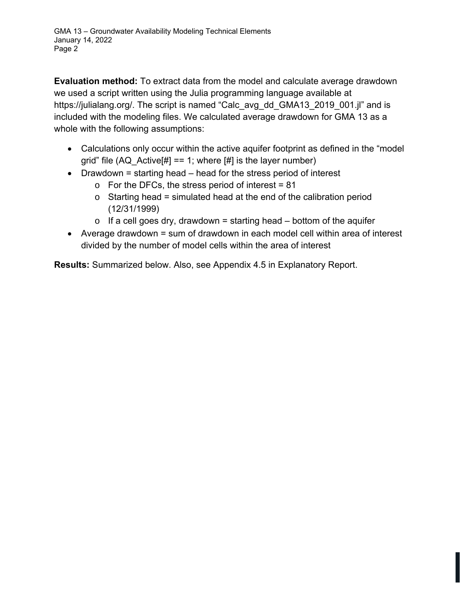**Evaluation method:** To extract data from the model and calculate average drawdown we used a script written using the Julia programming language available at https://julialang.org/. The script is named "Calc\_avg\_dd\_GMA13\_2019\_001.jl" and is included with the modeling files. We calculated average drawdown for GMA 13 as a whole with the following assumptions:

- Calculations only occur within the active aquifer footprint as defined in the "model grid" file  $(AQ_{\text{A}}$  Active[#] == 1; where [#] is the layer number)
- Drawdown = starting head head for the stress period of interest
	- $\circ$  For the DFCs, the stress period of interest = 81
	- $\circ$  Starting head = simulated head at the end of the calibration period (12/31/1999)
	- $\circ$  If a cell goes dry, drawdown = starting head bottom of the aquifer
- Average drawdown = sum of drawdown in each model cell within area of interest divided by the number of model cells within the area of interest

**Results:** Summarized below. Also, see Appendix 4.5 in Explanatory Report.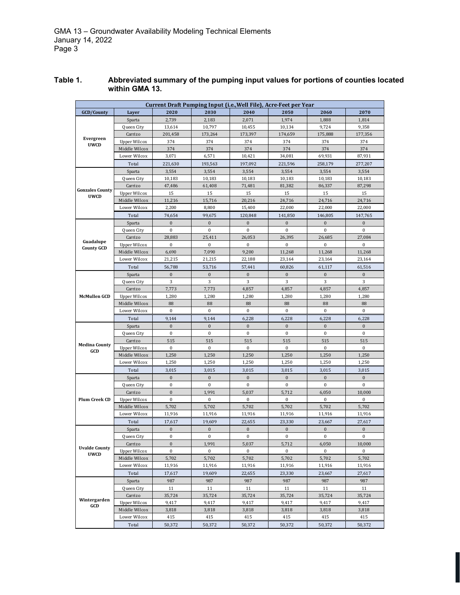| Current Draft Pumping Input (i.e., Well File), Acre-Feet per Year |                       |                       |                        |                        |                         |                       |                       |  |
|-------------------------------------------------------------------|-----------------------|-----------------------|------------------------|------------------------|-------------------------|-----------------------|-----------------------|--|
| GCD/County                                                        | Laver                 | 2020                  | 2030                   | 2040                   | 2050                    | 2060                  | 2070                  |  |
| Evergreen<br><b>UWCD</b>                                          | Sparta                | 2,739                 | 2,183                  | 2,071                  | 1,974                   | 1,888                 | 1,814                 |  |
|                                                                   | Queen City            | 13,614                | 10,797                 | 10,455                 | 10,134                  | 9,724                 | 9,358                 |  |
|                                                                   | Carrizo               | 201,458               | 173,264                | 173,397                | 174,659                 | 175,888               | 177,356               |  |
|                                                                   | <b>Upper Wilcox</b>   | 374                   | 374                    | 374                    | 374                     | 374                   | 374                   |  |
|                                                                   | Middle Wilcox         | 374                   | 374                    | 374                    | 374                     | 374                   | 374                   |  |
|                                                                   | Lower Wilcox          | 3,071                 | 6,571                  | 10,421                 | 34,081                  | 69,931                | 87,931                |  |
|                                                                   | Total                 | 221,630               | 193,563                | 197,092                | 221,596                 | 258,179               | 277,207               |  |
| <b>Gonzales County</b><br><b>UWCD</b>                             | Sparta                | 3,554                 | 3,554                  | 3,554                  | 3,554                   | 3,554                 | 3,554                 |  |
|                                                                   | Queen City            | 10,183                | 10,183                 | 10,183                 | 10,183                  | 10,183                | 10,183                |  |
|                                                                   | Carrizo               | 47,486                | 61,408                 | 71,481                 | 81,382                  | 86,337                | 87,298                |  |
|                                                                   | <b>Upper Wilcox</b>   | 15                    | 15                     | 15                     | 15                      | 15                    | 15                    |  |
|                                                                   | Middle Wilcox         | 11,216                | 15,716                 | 20,216                 | 24,716                  | 24,716                | 24,716                |  |
|                                                                   | Lower Wilcox          | 2,200                 | 8,800                  | 15,400                 | 22,000                  | 22,000                | 22,000                |  |
|                                                                   | Total                 | 74,654                | 99,675                 | 120,848                | 141,850                 | 146,805               | 147,765               |  |
|                                                                   | Sparta                | $\boldsymbol{0}$      | $\boldsymbol{0}$       | $\boldsymbol{0}$       | $\boldsymbol{0}$        | $\boldsymbol{0}$      | $\boldsymbol{0}$      |  |
|                                                                   | Queen City            | $\bf{0}$              | $\bf{0}$               | $\bf{0}$               | $\bf{0}$                | $\boldsymbol{0}$      | $\bf{0}$              |  |
| Guadalupe                                                         | Carrizo               | 28,883                | 25,411                 | 26,053                 | 26,395                  | 26,685                | 27,084                |  |
| <b>County GCD</b>                                                 | <b>Upper Wilcox</b>   | $\bf{0}$              | $\bf{0}$               | $\bf{0}$               | $\bf{0}$                | $\bf{0}$              | $\bf{0}$              |  |
|                                                                   | Middle Wilcox         | 6,690                 | 7,090                  | 9,200                  | 11,268                  | 11,268                | 11,268                |  |
|                                                                   | Lower Wilcox          | 21,215                | 21,215                 | 22,188                 | 23,164                  | 23,164                | 23,164                |  |
|                                                                   | Total                 | 56,788                | 53,716                 | 57,441                 | 60,826                  | 61,117                | 61,516                |  |
|                                                                   | Sparta                | $\mathbf{0}$          | $\mathbf{0}$           | $\mathbf{0}$           | $\mathbf{0}$            | $\mathbf{0}$          | $\mathbf{0}$          |  |
|                                                                   | Queen City            | 3                     | 3                      | 3                      | 3                       | 3                     | 3                     |  |
|                                                                   | Carrizo               | 7,773                 | 7,773                  | 4,857                  | 4,857                   | 4,857                 | 4,857                 |  |
| <b>McMullen GCD</b>                                               | <b>Upper Wilcox</b>   | 1,280                 | 1,280                  | 1,280                  | 1,280                   | 1,280                 | 1,280                 |  |
|                                                                   | Middle Wilcox         | 88<br>$\bf{0}$        | 88<br>$\boldsymbol{0}$ | 88<br>$\boldsymbol{0}$ | 88<br>$\bf{0}$          | 88<br>$\bf{0}$        | 88<br>$\bf{0}$        |  |
|                                                                   | Lower Wilcox          |                       |                        |                        |                         |                       |                       |  |
|                                                                   | Total                 | 9,144<br>$\mathbf{0}$ | 9,144<br>$\mathbf{0}$  | 6,228<br>$\mathbf{0}$  | 6,228<br>$\overline{0}$ | 6,228<br>$\mathbf{0}$ | 6,228<br>$\mathbf{0}$ |  |
|                                                                   | Sparta<br>Queen City  | $\boldsymbol{0}$      | $\boldsymbol{0}$       | $\mathbf{0}$           | $\bf{0}$                | $\bf{0}$              | $\mathbf{0}$          |  |
|                                                                   | Carrizo               | 515                   | 515                    | 515                    | 515                     | 515                   | 515                   |  |
| <b>Medina County</b>                                              | <b>Upper Wilcox</b>   | $\bf{0}$              | $\bf{0}$               | $\mathbf{0}$           | $\mathbf{0}$            | $\bf{0}$              | $\mathbf{0}$          |  |
| GCD                                                               | Middle Wilcox         | 1,250                 | 1,250                  | 1,250                  | 1,250                   | 1,250                 | 1,250                 |  |
|                                                                   | Lower Wilcox          | 1,250                 | 1,250                  | 1,250                  | 1,250                   | 1,250                 | 1,250                 |  |
|                                                                   |                       |                       |                        |                        |                         |                       |                       |  |
|                                                                   | Total                 | 3,015                 | 3,015                  | 3,015                  | 3,015                   | 3,015                 | 3,015                 |  |
|                                                                   | Sparta                | $\mathbf{0}$          | $\bf{0}$               | $\mathbf{0}$           | $\mathbf{0}$            | $\mathbf{0}$          | $\mathbf{0}$          |  |
|                                                                   | Queen City            | $\boldsymbol{0}$      | $\boldsymbol{0}$       | $\bf{0}$               | $\boldsymbol{0}$        | $\bf{0}$              | $\bf{0}$              |  |
|                                                                   | Carrizo               | $\bf{0}$              | 1,991                  | 5,037                  | 5,712                   | 6,050                 | 10,000                |  |
| Plum Creek CD                                                     | <b>Upper Wilcox</b>   | $\bf{0}$              | $\bf{0}$               | $\mathbf{0}$           | $\bf{0}$                | $\boldsymbol{0}$      | $\mathbf{0}$          |  |
|                                                                   | Middle Wilcox         | 5,702                 | 5,702                  | 5,702                  | 5,702                   | 5,702                 | 5,702                 |  |
|                                                                   | Lower Wilcox          | 11,916                | 11,916                 | 11,916                 | 11,916                  | 11,916                | 11,916                |  |
|                                                                   | Total                 | 17,617                | 19,609                 | 22,655                 | 23,330                  | 23,667                | 27,617                |  |
|                                                                   | Sparta                | $\bf{0}$              | $\boldsymbol{0}$       | $\bf{0}$               | $\bf{0}$                | $\bf{0}$              | $\mathbf{0}$          |  |
|                                                                   | Oueen City            | $\theta$              | $\theta$               | $\Omega$               | $\mathbf{0}$            | $\theta$              | $\Omega$              |  |
|                                                                   | Carrizo               | $\boldsymbol{0}$      | 1,991                  | 5,037                  | 5,712                   | 6,050                 | 10,000                |  |
| <b>Uvalde County</b><br><b>UWCD</b>                               | <b>Upper Wilcox</b>   | $\bf{0}$              | $\bf{0}$               | $\bf{0}$               | 0                       | $\bf{0}$              | $\bf{0}$              |  |
|                                                                   | Middle Wilcox         | 5,702                 | 5,702                  | 5,702                  | 5,702                   | 5,702                 | 5,702                 |  |
|                                                                   | Lower Wilcox          | 11,916                | 11,916                 | 11,916                 | 11,916                  | 11,916                | 11,916                |  |
|                                                                   | Total                 | 17,617                | 19,609                 | 22,655                 | 23,330                  | 23,667                | 27,617                |  |
|                                                                   | Sparta                | 987                   | 987                    | 987                    | 987                     | 987                   | 987                   |  |
|                                                                   | Queen City            | 11                    | 11                     | 11                     | 11                      | 11                    | 11                    |  |
| Wintergarden                                                      | Carrizo               | 35,724                | 35,724                 | 35,724                 | 35,724                  | 35,724                | 35,724                |  |
| GCD                                                               | <b>Upper Wilcox</b>   | 9,417                 | 9,417                  | 9,417                  | 9,417                   | 9,417                 | 9,417                 |  |
|                                                                   | Middle Wilcox         | 3,818                 | 3,818                  | 3,818                  | 3,818                   | 3,818                 | 3,818                 |  |
|                                                                   | Lower Wilcox<br>Total | 415<br>50,372         | 415<br>50,372          | 415<br>50,372          | 415<br>50,372           | 415<br>50,372         | 415<br>50,372         |  |

#### **Table 1. Abbreviated summary of the pumping input values for portions of counties located within GMA 13.**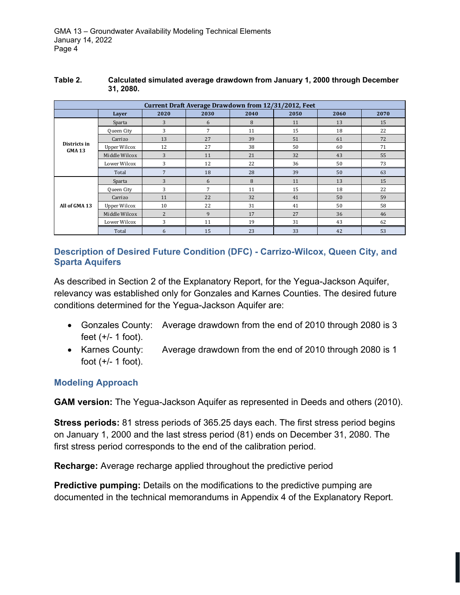| Current Draft Average Drawdown from 12/31/2012, Feet |                     |                |                |      |      |      |      |  |  |
|------------------------------------------------------|---------------------|----------------|----------------|------|------|------|------|--|--|
|                                                      | Layer               | 2020           | 2030           | 2040 | 2050 | 2060 | 2070 |  |  |
| Districts in<br><b>GMA13</b>                         | Sparta              | 3              | 6              | 8    | 11   | 13   | 15   |  |  |
|                                                      | Queen City          | 3              | 7              | 11   | 15   | 18   | 22   |  |  |
|                                                      | Carrizo             | 13             | 27             | 39   | 51   | 61   | 72   |  |  |
|                                                      | Upper Wilcox        | 12             | 27             | 38   | 50   | 60   | 71   |  |  |
|                                                      | Middle Wilcox       | 3              | 11             | 21   | 32   | 43   | 55   |  |  |
|                                                      | Lower Wilcox        | 3              | 12             | 22   | 36   | 50   | 73   |  |  |
|                                                      | Total               | 7              | 18             | 28   | 39   | 50   | 63   |  |  |
| All of GMA 13                                        | Sparta              | 3              | 6              | 8    | 11   | 13   | 15   |  |  |
|                                                      | Queen City          | 3              | $\overline{7}$ | 11   | 15   | 18   | 22   |  |  |
|                                                      | Carrizo             | 11             | 22             | 32   | 41   | 50   | 59   |  |  |
|                                                      | <b>Upper Wilcox</b> | 10             | 22             | 31   | 41   | 50   | 58   |  |  |
|                                                      | Middle Wilcox       | $\overline{c}$ | 9              | 17   | 27   | 36   | 46   |  |  |
|                                                      | Lower Wilcox        | 3              | 11             | 19   | 31   | 43   | 62   |  |  |
|                                                      | Total               | 6              | 15             | 23   | 33   | 42   | 53   |  |  |

#### **Table 2. Calculated simulated average drawdown from January 1, 2000 through December 31, 2080.**

### **Description of Desired Future Condition (DFC) - Carrizo-Wilcox, Queen City, and Sparta Aquifers**

As described in Section 2 of the Explanatory Report, for the Yegua-Jackson Aquifer, relevancy was established only for Gonzales and Karnes Counties. The desired future conditions determined for the Yegua-Jackson Aquifer are:

- Gonzales County: Average drawdown from the end of 2010 through 2080 is 3 feet (+/- 1 foot).
- Karnes County: Average drawdown from the end of 2010 through 2080 is 1 foot  $(+/- 1$  foot).

### **Modeling Approach**

**GAM version:** The Yegua-Jackson Aquifer as represented in Deeds and others (2010).

**Stress periods:** 81 stress periods of 365.25 days each. The first stress period begins on January 1, 2000 and the last stress period (81) ends on December 31, 2080. The first stress period corresponds to the end of the calibration period.

**Recharge:** Average recharge applied throughout the predictive period

**Predictive pumping:** Details on the modifications to the predictive pumping are documented in the technical memorandums in Appendix 4 of the Explanatory Report.